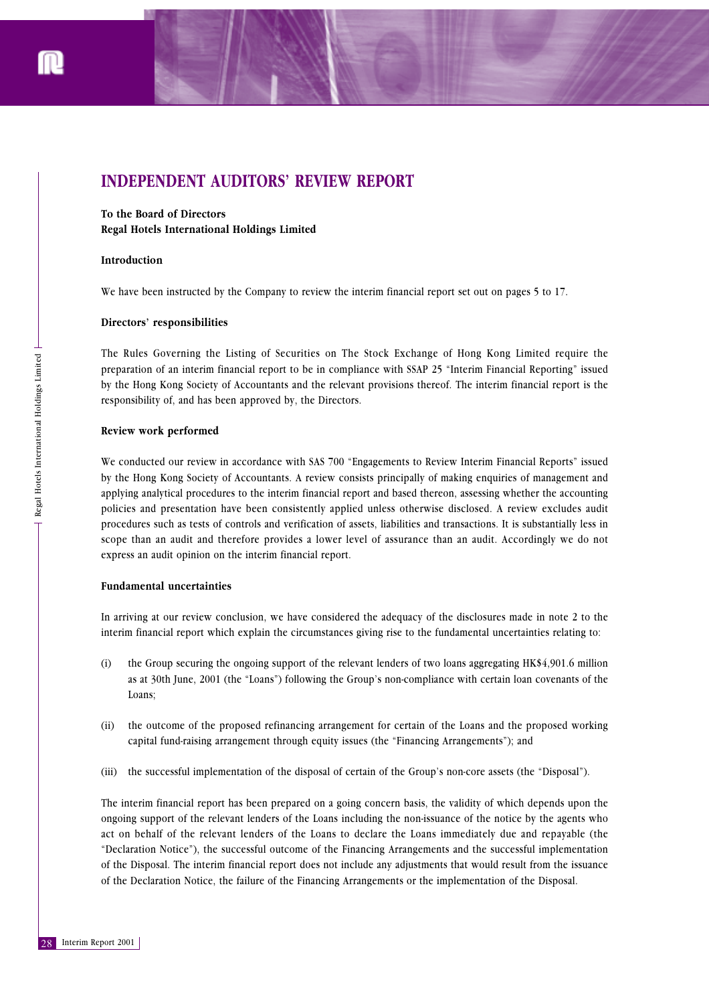

# **INDEPENDENT AUDITORS' REVIEW REPORT**

**To the Board of Directors Regal Hotels International Holdings Limited**

## **Introduction**

We have been instructed by the Company to review the interim financial report set out on pages 5 to 17.

## **Directors' responsibilities**

The Rules Governing the Listing of Securities on The Stock Exchange of Hong Kong Limited require the preparation of an interim financial report to be in compliance with SSAP 25 "Interim Financial Reporting" issued by the Hong Kong Society of Accountants and the relevant provisions thereof. The interim financial report is the responsibility of, and has been approved by, the Directors.

#### **Review work performed**

Prince Review<br>
Prepara<br>
Prepara<br>
Review<br>
We con<br>
by the l<br>
applyin<sub>i</sub> policies<br>
procedd<br>
scope t<br>
express<br>
Fundar<br>
In arriv<br>
interim<br>
(i) th<br>
as<br>
La<br>
(ii) th<br>
c:<br>
(iii) th<br>
C:<br>
(iii) th<br>
The international Houternational Ho We conducted our review in accordance with SAS 700 "Engagements to Review Interim Financial Reports" issued by the Hong Kong Society of Accountants. A review consists principally of making enquiries of management and applying analytical procedures to the interim financial report and based thereon, assessing whether the accounting policies and presentation have been consistently applied unless otherwise disclosed. A review excludes audit procedures such as tests of controls and verification of assets, liabilities and transactions. It is substantially less in scope than an audit and therefore provides a lower level of assurance than an audit. Accordingly we do not express an audit opinion on the interim financial report.

#### **Fundamental uncertainties**

In arriving at our review conclusion, we have considered the adequacy of the disclosures made in note 2 to the interim financial report which explain the circumstances giving rise to the fundamental uncertainties relating to:

- (i) the Group securing the ongoing support of the relevant lenders of two loans aggregating HK\$4,901.6 million as at 30th June, 2001 (the "Loans") following the Group's non-compliance with certain loan covenants of the Loans;
- (ii) the outcome of the proposed refinancing arrangement for certain of the Loans and the proposed working capital fund-raising arrangement through equity issues (the "Financing Arrangements"); and
- (iii) the successful implementation of the disposal of certain of the Group's non-core assets (the "Disposal").

The interim financial report has been prepared on a going concern basis, the validity of which depends upon the ongoing support of the relevant lenders of the Loans including the non-issuance of the notice by the agents who act on behalf of the relevant lenders of the Loans to declare the Loans immediately due and repayable (the "Declaration Notice"), the successful outcome of the Financing Arrangements and the successful implementation of the Disposal. The interim financial report does not include any adjustments that would result from the issuance of the Declaration Notice, the failure of the Financing Arrangements or the implementation of the Disposal.